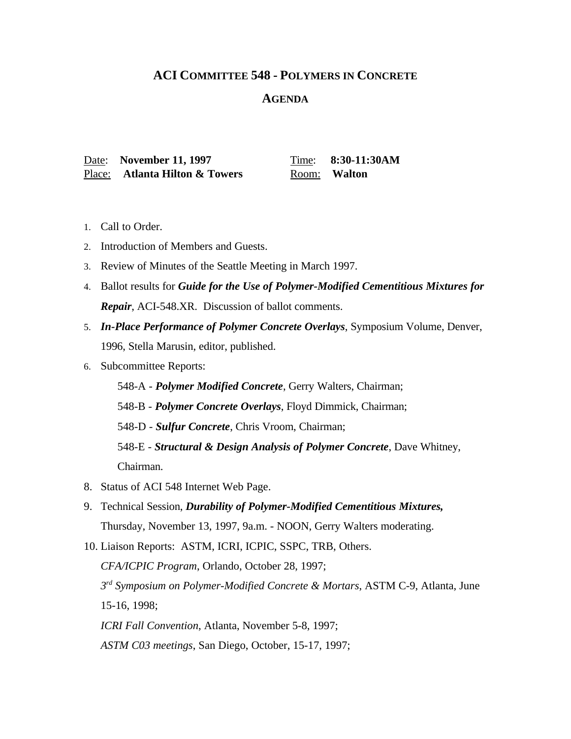## **ACI COMMITTEE 548 - POLYMERS IN CONCRETE**

## **AGENDA**

Date: **November 11, 1997** Time: **8:30-11:30AM** Place: **Atlanta Hilton & Towers** Room: Walton

- 1. Call to Order.
- 2. Introduction of Members and Guests.
- 3. Review of Minutes of the Seattle Meeting in March 1997.
- 4. Ballot results for *Guide for the Use of Polymer-Modified Cementitious Mixtures for Repair*, ACI-548.XR. Discussion of ballot comments.
- 5. *In-Place Performance of Polymer Concrete Overlays*, Symposium Volume, Denver, 1996, Stella Marusin, editor, published.
- 6. Subcommittee Reports:

548-A - *Polymer Modified Concrete*, Gerry Walters, Chairman;

548-B - *Polymer Concrete Overlays*, Floyd Dimmick, Chairman;

548-D - *Sulfur Concrete*, Chris Vroom, Chairman;

548-E - *Structural & Design Analysis of Polymer Concrete*, Dave Whitney, Chairman.

- 8. Status of ACI 548 Internet Web Page.
- 9. Technical Session, *Durability of Polymer-Modified Cementitious Mixtures,* Thursday, November 13, 1997, 9a.m. - NOON, Gerry Walters moderating.

10. Liaison Reports: ASTM, ICRI, ICPIC, SSPC, TRB, Others. *CFA/ICPIC Program*, Orlando, October 28, 1997; *3 rd Symposium on Polymer-Modified Concrete & Mortars*, ASTM C-9, Atlanta, June 15-16, 1998; *ICRI Fall Convention*, Atlanta, November 5-8, 1997; *ASTM C03 meetings*, San Diego, October, 15-17, 1997;